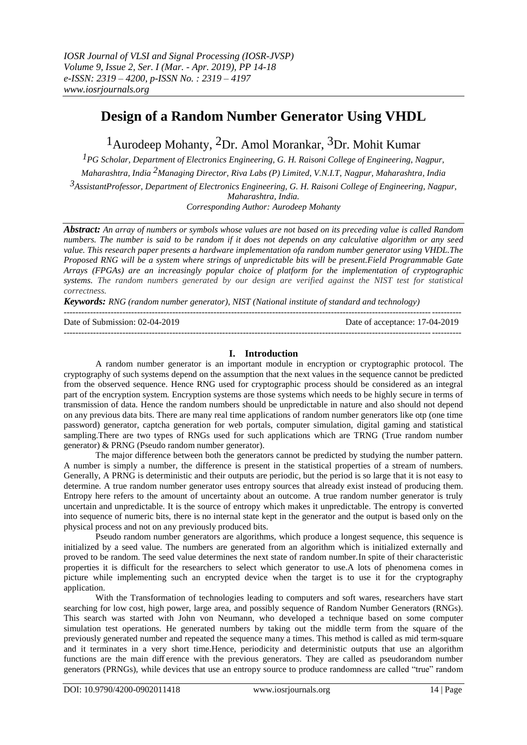# **Design of a Random Number Generator Using VHDL**

<sup>1</sup> Aurodeep Mohanty, <sup>2</sup>Dr. Amol Morankar, <sup>3</sup>Dr. Mohit Kumar

*1PG Scholar, Department of Electronics Engineering, G. H. Raisoni College of Engineering, Nagpur, Maharashtra, India 2Managing Director, Riva Labs (P) Limited, V.N.I.T, Nagpur, Maharashtra, India 3AssistantProfessor, Department of Electronics Engineering, G. H. Raisoni College of Engineering, Nagpur, Maharashtra, India. Corresponding Author: Aurodeep Mohanty*

*Abstract: An array of numbers or symbols whose values are not based on its preceding value is called Random numbers. The number is said to be random if it does not depends on any calculative algorithm or any seed value. This research paper presents a hardware implementation ofa random number generator using VHDL.The Proposed RNG will be a system where strings of unpredictable bits will be present.Field Programmable Gate Arrays (FPGAs) are an increasingly popular choice of platform for the implementation of cryptographic systems. The random numbers generated by our design are verified against the NIST test for statistical correctness.*

*Keywords: RNG (random number generator), NIST (National institute of standard and technology)*

| Date of Submission: $02-04-2019$ | Date of acceptance: 17-04-2019 |
|----------------------------------|--------------------------------|
|                                  |                                |

## **I. Introduction**

A random number generator is an important module in encryption or cryptographic protocol. The cryptography of such systems depend on the assumption that the next values in the sequence cannot be predicted from the observed sequence. Hence RNG used for cryptographic process should be considered as an integral part of the encryption system. Encryption systems are those systems which needs to be highly secure in terms of transmission of data. Hence the random numbers should be unpredictable in nature and also should not depend on any previous data bits. There are many real time applications of random number generators like otp (one time password) generator, captcha generation for web portals, computer simulation, digital gaming and statistical sampling.There are two types of RNGs used for such applications which are TRNG (True random number generator) & PRNG (Pseudo random number generator).

The major difference between both the generators cannot be predicted by studying the number pattern. A number is simply a number, the difference is present in the statistical properties of a stream of numbers. Generally, A PRNG is deterministic and their outputs are periodic, but the period is so large that it is not easy to determine. A true random number generator uses entropy sources that already exist instead of producing them. Entropy here refers to the amount of uncertainty about an outcome. A true random number generator is truly uncertain and unpredictable. It is the source of entropy which makes it unpredictable. The entropy is converted into sequence of numeric bits, there is no internal state kept in the generator and the output is based only on the physical process and not on any previously produced bits.

Pseudo random number generators are algorithms, which produce a longest sequence, this sequence is initialized by a seed value. The numbers are generated from an algorithm which is initialized externally and proved to be random. The seed value determines the next state of random number.In spite of their characteristic properties it is difficult for the researchers to select which generator to use.A lots of phenomena comes in picture while implementing such an encrypted device when the target is to use it for the cryptography application.

With the Transformation of technologies leading to computers and soft wares, researchers have start searching for low cost, high power, large area, and possibly sequence of Random Number Generators (RNGs). This search was started with John von Neumann, who developed a technique based on some computer simulation test operations. He generated numbers by taking out the middle term from the square of the previously generated number and repeated the sequence many a times. This method is called as mid term-square and it terminates in a very short time.Hence, periodicity and deterministic outputs that use an algorithm functions are the main diff erence with the previous generators. They are called as pseudorandom number generators (PRNGs), while devices that use an entropy source to produce randomness are called "true" random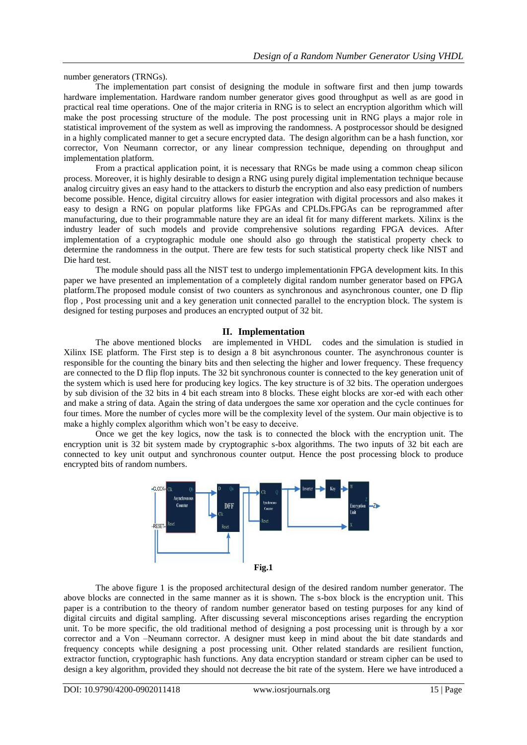number generators (TRNGs).

The implementation part consist of designing the module in software first and then jump towards hardware implementation. Hardware random number generator gives good throughput as well as are good in practical real time operations. One of the major criteria in RNG is to select an encryption algorithm which will make the post processing structure of the module. The post processing unit in RNG plays a major role in statistical improvement of the system as well as improving the randomness. A postprocessor should be designed in a highly complicated manner to get a secure encrypted data. The design algorithm can be a hash function, xor corrector, Von Neumann corrector, or any linear compression technique, depending on throughput and implementation platform.

From a practical application point, it is necessary that RNGs be made using a common cheap silicon process. Moreover, it is highly desirable to design a RNG using purely digital implementation technique because analog circuitry gives an easy hand to the attackers to disturb the encryption and also easy prediction of numbers become possible. Hence, digital circuitry allows for easier integration with digital processors and also makes it easy to design a RNG on popular platforms like FPGAs and CPLDs.FPGAs can be reprogrammed after manufacturing, due to their programmable nature they are an ideal fit for many different markets. Xilinx is the industry leader of such models and provide comprehensive solutions regarding FPGA devices. After implementation of a cryptographic module one should also go through the statistical property check to determine the randomness in the output. There are few tests for such statistical property check like NIST and Die hard test.

The module should pass all the NIST test to undergo implementationin FPGA development kits. In this paper we have presented an implementation of a completely digital random number generator based on FPGA platform.The proposed module consist of two counters as synchronous and asynchronous counter, one D flip flop , Post processing unit and a key generation unit connected parallel to the encryption block. The system is designed for testing purposes and produces an encrypted output of 32 bit.

### **II. Implementation**

The above mentioned blocks are implemented in VHDL codes and the simulation is studied in Xilinx ISE platform. The First step is to design a 8 bit asynchronous counter. The asynchronous counter is responsible for the counting the binary bits and then selecting the higher and lower frequency. These frequency are connected to the D flip flop inputs. The 32 bit synchronous counter is connected to the key generation unit of the system which is used here for producing key logics. The key structure is of 32 bits. The operation undergoes by sub division of the 32 bits in 4 bit each stream into 8 blocks. These eight blocks are xor-ed with each other and make a string of data. Again the string of data undergoes the same xor operation and the cycle continues for four times. More the number of cycles more will be the complexity level of the system. Our main objective is to make a highly complex algorithm which won't be easy to deceive.

Once we get the key logics, now the task is to connected the block with the encryption unit. The encryption unit is 32 bit system made by cryptographic s-box algorithms. The two inputs of 32 bit each are connected to key unit output and synchronous counter output. Hence the post processing block to produce encrypted bits of random numbers.



The above figure 1 is the proposed architectural design of the desired random number generator. The above blocks are connected in the same manner as it is shown. The s-box block is the encryption unit. This paper is a contribution to the theory of random number generator based on testing purposes for any kind of digital circuits and digital sampling. After discussing several misconceptions arises regarding the encryption unit. To be more specific, the old traditional method of designing a post processing unit is through by a xor corrector and a Von –Neumann corrector. A designer must keep in mind about the bit date standards and frequency concepts while designing a post processing unit. Other related standards are resilient function, extractor function, cryptographic hash functions. Any data encryption standard or stream cipher can be used to design a key algorithm, provided they should not decrease the bit rate of the system. Here we have introduced a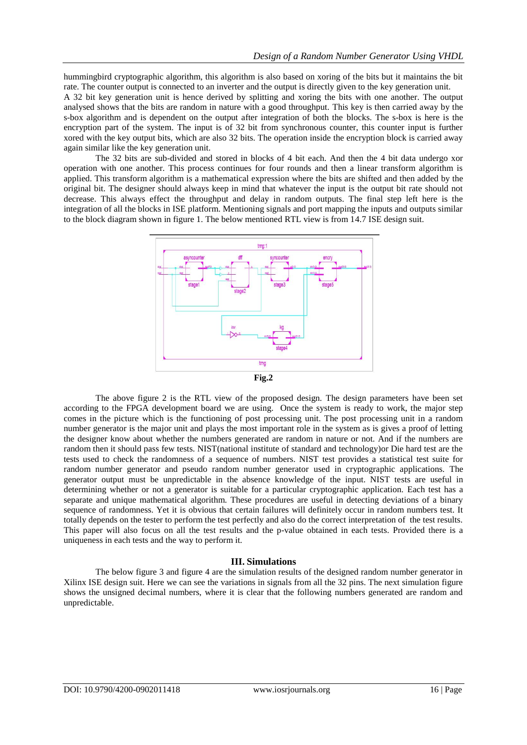hummingbird cryptographic algorithm, this algorithm is also based on xoring of the bits but it maintains the bit rate. The counter output is connected to an inverter and the output is directly given to the key generation unit.

A 32 bit key generation unit is hence derived by splitting and xoring the bits with one another. The output analysed shows that the bits are random in nature with a good throughput. This key is then carried away by the s-box algorithm and is dependent on the output after integration of both the blocks. The s-box is here is the encryption part of the system. The input is of 32 bit from synchronous counter, this counter input is further xored with the key output bits, which are also 32 bits. The operation inside the encryption block is carried away again similar like the key generation unit.

The 32 bits are sub-divided and stored in blocks of 4 bit each. And then the 4 bit data undergo xor operation with one another. This process continues for four rounds and then a linear transform algorithm is applied. This transform algorithm is a mathematical expression where the bits are shifted and then added by the original bit. The designer should always keep in mind that whatever the input is the output bit rate should not decrease. This always effect the throughput and delay in random outputs. The final step left here is the integration of all the blocks in ISE platform. Mentioning signals and port mapping the inputs and outputs similar to the block diagram shown in figure 1. The below mentioned RTL view is from 14.7 ISE design suit.



The above figure 2 is the RTL view of the proposed design. The design parameters have been set according to the FPGA development board we are using. Once the system is ready to work, the major step comes in the picture which is the functioning of post processing unit. The post processing unit in a random number generator is the major unit and plays the most important role in the system as is gives a proof of letting the designer know about whether the numbers generated are random in nature or not. And if the numbers are random then it should pass few tests. NIST(national institute of standard and technology)or Die hard test are the tests used to check the randomness of a sequence of numbers. NIST test provides a statistical test suite for random number generator and pseudo random number generator used in cryptographic applications. The generator output must be unpredictable in the absence knowledge of the input. NIST tests are useful in determining whether or not a generator is suitable for a particular cryptographic application. Each test has a separate and unique mathematical algorithm. These procedures are useful in detecting deviations of a binary sequence of randomness. Yet it is obvious that certain failures will definitely occur in random numbers test. It totally depends on the tester to perform the test perfectly and also do the correct interpretation of the test results. This paper will also focus on all the test results and the p-value obtained in each tests. Provided there is a uniqueness in each tests and the way to perform it.

#### **III. Simulations**

The below figure 3 and figure 4 are the simulation results of the designed random number generator in Xilinx ISE design suit. Here we can see the variations in signals from all the 32 pins. The next simulation figure shows the unsigned decimal numbers, where it is clear that the following numbers generated are random and unpredictable.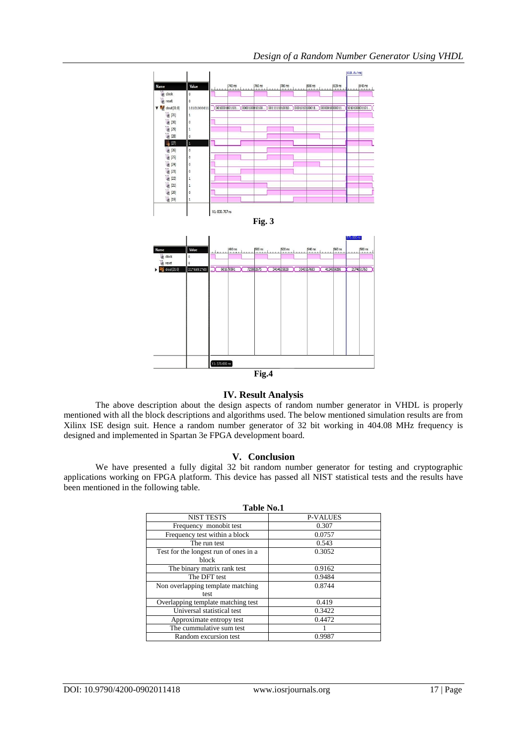

#### **IV. Result Analysis**

The above description about the design aspects of random number generator in VHDL is properly mentioned with all the block descriptions and algorithms used. The below mentioned simulation results are from Xilinx ISE design suit. Hence a random number generator of 32 bit working in 404.08 MHz frequency is designed and implemented in Spartan 3e FPGA development board.

## **V. Conclusion**

We have presented a fully digital 32 bit random number generator for testing and cryptographic applications working on FPGA platform. This device has passed all NIST statistical tests and the results have been mentioned in the following table.

| <b>P-VALUES</b> |
|-----------------|
|                 |
|                 |
|                 |
|                 |
|                 |
|                 |
|                 |
|                 |
|                 |
|                 |
|                 |
|                 |
|                 |
|                 |
|                 |
|                 |

#### **Table No.1**